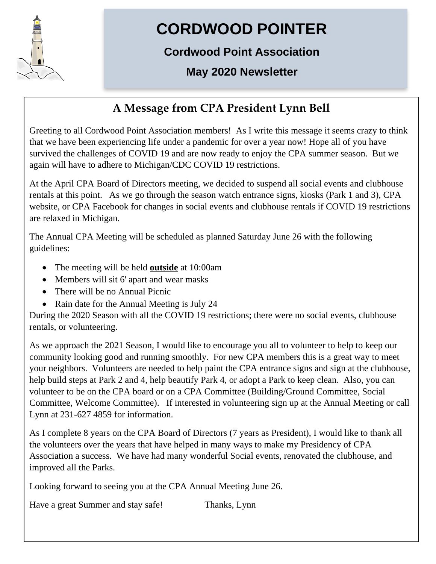

### **CORDWOOD POINTER**

## **Cordwood Point Association**

## **May 2020 Newsletter**

# **A Message from CPA President Lynn Bell**

Greeting to all Cordwood Point Association members! As I write this message it seems crazy to think that we have been experiencing life under a pandemic for over a year now! Hope all of you have survived the challenges of COVID 19 and are now ready to enjoy the CPA summer season. But we again will have to adhere to Michigan/CDC COVID 19 restrictions.

At the April CPA Board of Directors meeting, we decided to suspend all social events and clubhouse rentals at this point. As we go through the season watch entrance signs, kiosks (Park 1 and 3), CPA website, or CPA Facebook for changes in social events and clubhouse rentals if COVID 19 restrictions are relaxed in Michigan.

The Annual CPA Meeting will be scheduled as planned Saturday June 26 with the following guidelines:

- The meeting will be held **outside** at 10:00am
- Members will sit 6' apart and wear masks
- There will be no Annual Picnic
- Rain date for the Annual Meeting is July 24

During the 2020 Season with all the COVID 19 restrictions; there were no social events, clubhouse rentals, or volunteering.

As we approach the 2021 Season, I would like to encourage you all to volunteer to help to keep our community looking good and running smoothly. For new CPA members this is a great way to meet your neighbors. Volunteers are needed to help paint the CPA entrance signs and sign at the clubhouse, help build steps at Park 2 and 4, help beautify Park 4, or adopt a Park to keep clean. Also, you can volunteer to be on the CPA board or on a CPA Committee (Building/Ground Committee, Social Committee, Welcome Committee). If interested in volunteering sign up at the Annual Meeting or call Lynn at 231-627 4859 for information.

As I complete 8 years on the CPA Board of Directors (7 years as President), I would like to thank all the volunteers over the years that have helped in many ways to make my Presidency of CPA Association a success. We have had many wonderful Social events, renovated the clubhouse, and improved all the Parks.

Looking forward to seeing you at the CPA Annual Meeting June 26.

Have a great Summer and stay safe! Thanks, Lynn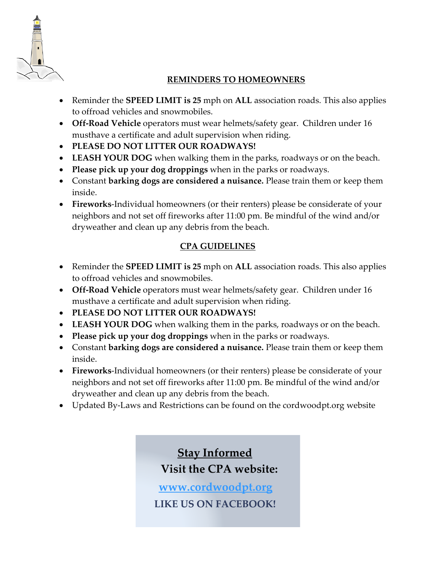

### **REMINDERS TO HOMEOWNERS**

- Reminder the **SPEED LIMIT is 25** mph on **ALL** association roads. This also applies to offroad vehicles and snowmobiles.
- **Off-Road Vehicle** operators must wear helmets/safety gear. Children under 16 musthave a certificate and adult supervision when riding.
- **PLEASE DO NOT LITTER OUR ROADWAYS!**
- **LEASH YOUR DOG** when walking them in the parks, roadways or on the beach.
- **Please pick up your dog droppings** when in the parks or roadways.
- Constant **barking dogs are considered a nuisance.** Please train them or keep them inside.
- **Fireworks**-Individual homeowners (or their renters) please be considerate of your neighbors and not set off fireworks after 11:00 pm. Be mindful of the wind and/or dryweather and clean up any debris from the beach.

### **CPA GUIDELINES**

- Reminder the **SPEED LIMIT is 25** mph on **ALL** association roads. This also applies to offroad vehicles and snowmobiles.
- **Off-Road Vehicle** operators must wear helmets/safety gear. Children under 16 musthave a certificate and adult supervision when riding.
- **PLEASE DO NOT LITTER OUR ROADWAYS!**
- **LEASH YOUR DOG** when walking them in the parks, roadways or on the beach.
- **Please pick up your dog droppings** when in the parks or roadways.
- Constant **barking dogs are considered a nuisance.** Please train them or keep them inside.
- **Fireworks**-Individual homeowners (or their renters) please be considerate of your neighbors and not set off fireworks after 11:00 pm. Be mindful of the wind and/or dryweather and clean up any debris from the beach.
- Updated By-Laws and Restrictions can be found on the cordwoodpt.org website

## **Stay Informed Visit the CPA website:**

**[www.cordwoodpt.org](http://www.cordwoodpt.org/) LIKE US ON FACEBOOK!**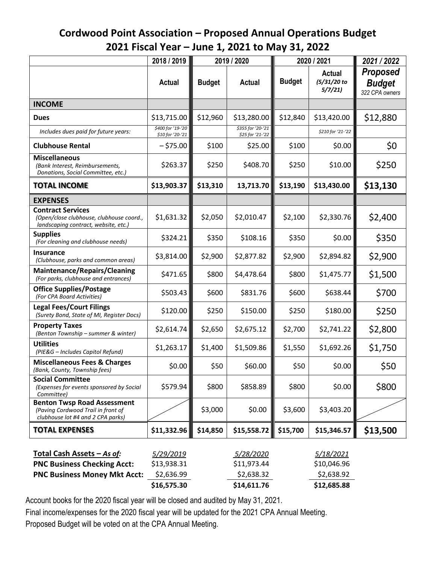### **Cordwood Point Association – Proposed Annual Operations Budget 2021 Fiscal Year – June 1, 2021 to May 31, 2022**

|                                                                                                               | 2018 / 2019                           | 2019 / 2020   |                                       | 2020 / 2021   |                                        | 2021 / 2022                                        |
|---------------------------------------------------------------------------------------------------------------|---------------------------------------|---------------|---------------------------------------|---------------|----------------------------------------|----------------------------------------------------|
|                                                                                                               | <b>Actual</b>                         | <b>Budget</b> | <b>Actual</b>                         | <b>Budget</b> | <b>Actual</b><br>(5/31/20 to<br>5/7/21 | <b>Proposed</b><br><b>Budget</b><br>322 CPA owners |
| <b>INCOME</b>                                                                                                 |                                       |               |                                       |               |                                        |                                                    |
| <b>Dues</b>                                                                                                   | \$13,715.00                           | \$12,960      | \$13,280.00                           | \$12,840      | \$13,420.00                            | \$12,880                                           |
| Includes dues paid for future years:                                                                          | \$400 for '19-'20<br>\$10 for '20-'21 |               | \$355 for '20-'21<br>\$25 for '21-'22 |               | \$210 for '21-'22                      |                                                    |
| <b>Clubhouse Rental</b>                                                                                       | $-$ \$75.00                           | \$100         | \$25.00                               | \$100         | \$0.00                                 | \$0                                                |
| <b>Miscellaneous</b><br>(Bank Interest, Reimbursements,<br>Donations, Social Committee, etc.)                 | \$263.37                              | \$250         | \$408.70                              | \$250         | \$10.00                                | \$250                                              |
| <b>TOTAL INCOME</b>                                                                                           | \$13,903.37                           | \$13,310      | 13,713.70                             | \$13,190      | \$13,430.00                            | \$13,130                                           |
| <b>EXPENSES</b>                                                                                               |                                       |               |                                       |               |                                        |                                                    |
| <b>Contract Services</b><br>(Open/close clubhouse, clubhouse coord.,<br>landscaping contract, website, etc.)  | \$1,631.32                            | \$2,050       | \$2,010.47                            | \$2,100       | \$2,330.76                             | \$2,400                                            |
| <b>Supplies</b><br>(For cleaning and clubhouse needs)                                                         | \$324.21                              | \$350         | \$108.16                              | \$350         | \$0.00                                 | \$350                                              |
| <b>Insurance</b><br>(Clubhouse, parks and common areas)                                                       | \$3,814.00                            | \$2,900       | \$2,877.82                            | \$2,900       | \$2,894.82                             | \$2,900                                            |
| <b>Maintenance/Repairs/Cleaning</b><br>(For parks, clubhouse and entrances)                                   | \$471.65                              | \$800         | \$4,478.64                            | \$800         | \$1,475.77                             | \$1,500                                            |
| <b>Office Supplies/Postage</b><br>(For CPA Board Activities)                                                  | \$503.43                              | \$600         | \$831.76                              | \$600         | \$638.44                               | \$700                                              |
| <b>Legal Fees/Court Filings</b><br>(Surety Bond, State of MI, Register Docs)                                  | \$120.00                              | \$250         | \$150.00                              | \$250         | \$180.00                               | \$250                                              |
| <b>Property Taxes</b><br>(Benton Township - summer & winter)                                                  | \$2,614.74                            | \$2,650       | \$2,675.12                            | \$2,700       | \$2,741.22                             | \$2,800                                            |
| <b>Utilities</b><br>(PIE&G - Includes Capitol Refund)                                                         | \$1,263.17                            | \$1,400       | \$1,509.86                            | \$1,550       | \$1,692.26                             | \$1,750                                            |
| <b>Miscellaneous Fees &amp; Charges</b><br>(Bank, County, Township fees)                                      | \$0.00                                | \$50          | \$60.00                               | \$50          | \$0.00                                 | \$50                                               |
| <b>Social Committee</b><br>(Expenses for events sponsored by Social<br>Committee)                             | \$579.94                              | \$800         | \$858.89                              | \$800         | \$0.00                                 | \$800                                              |
| <b>Benton Twsp Road Assessment</b><br>(Paving Cordwood Trail in front of<br>clubhouse lot #4 and 2 CPA parks) |                                       | \$3,000       | \$0.00                                | \$3,600       | \$3,403.20                             |                                                    |
| <b>TOTAL EXPENSES</b>                                                                                         | \$11,332.96                           | \$14,850      | \$15,558.72                           | \$15,700      | \$15,346.57                            | \$13,500                                           |
| Total Cash Assets - As of:<br><b>PNC Business Checking Acct:</b>                                              | 5/29/2019<br>\$13,938.31              |               | 5/28/2020<br>\$11,973.44              |               | 5/18/2021<br>\$10,046.96               |                                                    |
| <b>PNC Business Money Mkt Acct:</b>                                                                           | \$2,636.99                            |               | \$2,638.32                            |               | \$2,638.92                             |                                                    |
|                                                                                                               | \$16,575.30                           |               | \$14,611.76                           |               | \$12,685.88                            |                                                    |

Account books for the 2020 fiscal year will be closed and audited by May 31, 2021.

Final income/expenses for the 2020 fiscal year will be updated for the 2021 CPA Annual Meeting.

Proposed Budget will be voted on at the CPA Annual Meeting.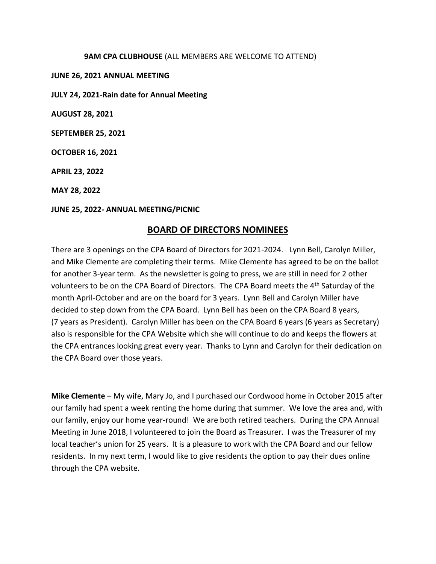#### **9AM CPA CLUBHOUSE** (ALL MEMBERS ARE WELCOME TO ATTEND)

**JUNE 26, 2021 ANNUAL MEETING** 

**JULY 24, 2021-Rain date for Annual Meeting**

**AUGUST 28, 2021**

**SEPTEMBER 25, 2021**

**OCTOBER 16, 2021**

**APRIL 23, 2022**

**MAY 28, 2022**

#### **JUNE 25, 2022- ANNUAL MEETING/PICNIC**

#### **BOARD OF DIRECTORS NOMINEES**

There are 3 openings on the CPA Board of Directors for 2021-2024. Lynn Bell, Carolyn Miller, and Mike Clemente are completing their terms. Mike Clemente has agreed to be on the ballot for another 3-year term. As the newsletter is going to press, we are still in need for 2 other volunteers to be on the CPA Board of Directors. The CPA Board meets the 4<sup>th</sup> Saturday of the month April-October and are on the board for 3 years. Lynn Bell and Carolyn Miller have decided to step down from the CPA Board. Lynn Bell has been on the CPA Board 8 years, (7 years as President). Carolyn Miller has been on the CPA Board 6 years (6 years as Secretary) also is responsible for the CPA Website which she will continue to do and keeps the flowers at the CPA entrances looking great every year. Thanks to Lynn and Carolyn for their dedication on the CPA Board over those years.

**Mike Clemente** – My wife, Mary Jo, and I purchased our Cordwood home in October 2015 after our family had spent a week renting the home during that summer. We love the area and, with our family, enjoy our home year-round! We are both retired teachers. During the CPA Annual Meeting in June 2018, I volunteered to join the Board as Treasurer. I was the Treasurer of my local teacher's union for 25 years. It is a pleasure to work with the CPA Board and our fellow residents. In my next term, I would like to give residents the option to pay their dues online through the CPA website.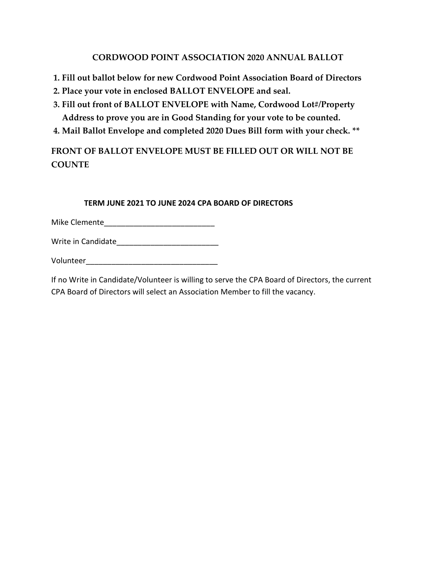#### **CORDWOOD POINT ASSOCIATION 2020 ANNUAL BALLOT**

- **1. Fill out ballot below for new Cordwood Point Association Board of Directors**
- **2. Place your vote in enclosed BALLOT ENVELOPE and seal.**
- **3. Fill out front of BALLOT ENVELOPE with Name, Cordwood Lot#/Property Address to prove you are in Good Standing for your vote to be counted.**
- **4. Mail Ballot Envelope and completed 2020 Dues Bill form with your check. \*\***

**FRONT OF BALLOT ENVELOPE MUST BE FILLED OUT OR WILL NOT BE COUNTE**

#### **TERM JUNE 2021 TO JUNE 2024 CPA BOARD OF DIRECTORS**

Mike Clemente\_\_\_\_\_\_\_\_\_\_\_\_\_\_\_\_\_\_\_\_\_\_\_\_\_\_

Write in Candidate\_\_\_\_\_\_\_\_\_\_\_\_\_\_\_\_\_\_\_\_\_\_\_\_

Volunteer\_\_\_\_\_\_\_\_\_\_\_\_\_\_\_\_\_\_\_\_\_\_\_\_\_\_\_\_\_\_\_

If no Write in Candidate/Volunteer is willing to serve the CPA Board of Directors, the current CPA Board of Directors will select an Association Member to fill the vacancy.